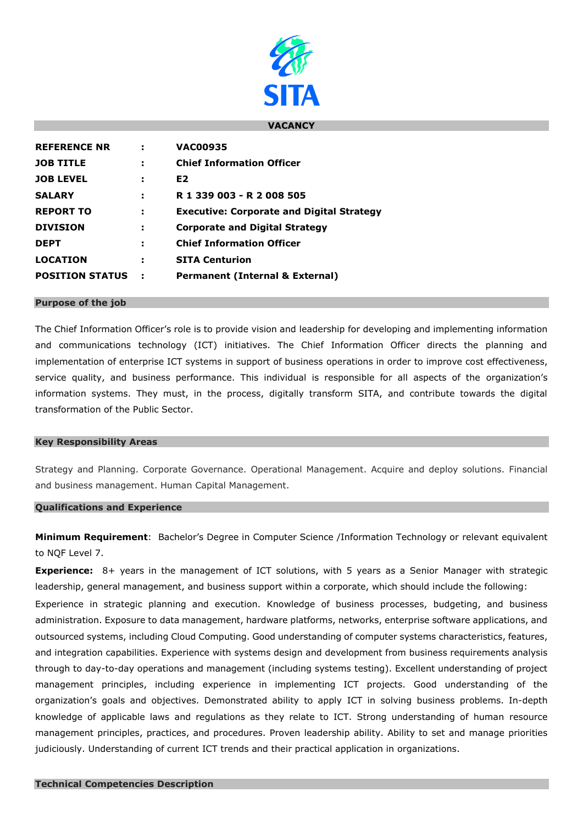

### **VACANCY**

| <b>REFERENCE NR</b>    |   | <b>VAC00935</b>                                  |
|------------------------|---|--------------------------------------------------|
| <b>JOB TITLE</b>       | э | <b>Chief Information Officer</b>                 |
| <b>JOB LEVEL</b>       |   | E <sub>2</sub>                                   |
| <b>SALARY</b>          |   | R 1 339 003 - R 2 008 505                        |
| <b>REPORT TO</b>       | э | <b>Executive: Corporate and Digital Strategy</b> |
| <b>DIVISION</b>        | ÷ | <b>Corporate and Digital Strategy</b>            |
| <b>DEPT</b>            |   | <b>Chief Information Officer</b>                 |
| <b>LOCATION</b>        | э | <b>SITA Centurion</b>                            |
| <b>POSITION STATUS</b> |   | Permanent (Internal & External)                  |

#### **Purpose of the job**

The Chief Information Officer's role is to provide vision and leadership for developing and implementing information and communications technology (ICT) initiatives. The Chief Information Officer directs the planning and implementation of enterprise ICT systems in support of business operations in order to improve cost effectiveness, service quality, and business performance. This individual is responsible for all aspects of the organization's information systems. They must, in the process, digitally transform SITA, and contribute towards the digital transformation of the Public Sector.

### **Key Responsibility Areas**

Strategy and Planning. Corporate Governance. Operational Management. Acquire and deploy solutions. Financial and business management. Human Capital Management.

### **Qualifications and Experience**

**Minimum Requirement**: Bachelor's Degree in Computer Science /Information Technology or relevant equivalent to NQF Level 7.

**Experience:** 8+ years in the management of ICT solutions, with 5 years as a Senior Manager with strategic leadership, general management, and business support within a corporate, which should include the following: Experience in strategic planning and execution. Knowledge of business processes, budgeting, and business administration. Exposure to data management, hardware platforms, networks, enterprise software applications, and outsourced systems, including Cloud Computing. Good understanding of computer systems characteristics, features, and integration capabilities. Experience with systems design and development from business requirements analysis through to day-to-day operations and management (including systems testing). Excellent understanding of project management principles, including experience in implementing ICT projects. Good understanding of the organization's goals and objectives. Demonstrated ability to apply ICT in solving business problems. In-depth knowledge of applicable laws and regulations as they relate to ICT. Strong understanding of human resource management principles, practices, and procedures. Proven leadership ability. Ability to set and manage priorities judiciously. Understanding of current ICT trends and their practical application in organizations.